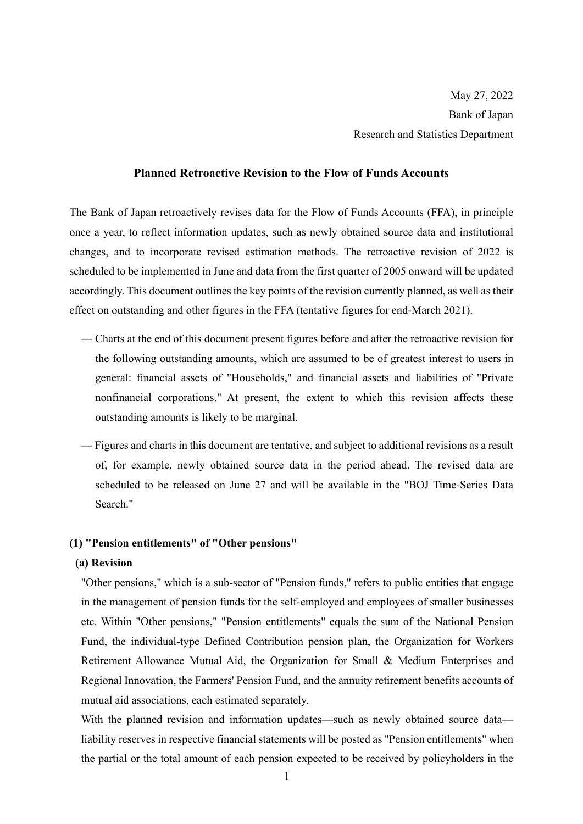### **Planned Retroactive Revision to the Flow of Funds Accounts**

The Bank of Japan retroactively revises data for the Flow of Funds Accounts (FFA), in principle once a year, to reflect information updates, such as newly obtained source data and institutional changes, and to incorporate revised estimation methods. The retroactive revision of 2022 is scheduled to be implemented in June and data from the first quarter of 2005 onward will be updated accordingly. This document outlines the key points of the revision currently planned, as well as their effect on outstanding and other figures in the FFA (tentative figures for end-March 2021).

- ― Charts at the end of this document present figures before and after the retroactive revision for the following outstanding amounts, which are assumed to be of greatest interest to users in general: financial assets of "Households," and financial assets and liabilities of "Private nonfinancial corporations." At present, the extent to which this revision affects these outstanding amounts is likely to be marginal.
- ― Figures and charts in this document are tentative, and subject to additional revisions as a result of, for example, newly obtained source data in the period ahead. The revised data are scheduled to be released on June 27 and will be available in the "BOJ Time-Series Data Search."

#### **(1) "Pension entitlements" of "Other pensions"**

#### **(a) Revision**

"Other pensions," which is a sub-sector of "Pension funds," refers to public entities that engage in the management of pension funds for the self-employed and employees of smaller businesses etc. Within "Other pensions," "Pension entitlements" equals the sum of the National Pension Fund, the individual-type Defined Contribution pension plan, the Organization for Workers Retirement Allowance Mutual Aid, the Organization for Small & Medium Enterprises and Regional Innovation, the Farmers' Pension Fund, and the annuity retirement benefits accounts of mutual aid associations, each estimated separately.

With the planned revision and information updates—such as newly obtained source data liability reserves in respective financial statements will be posted as "Pension entitlements" when the partial or the total amount of each pension expected to be received by policyholders in the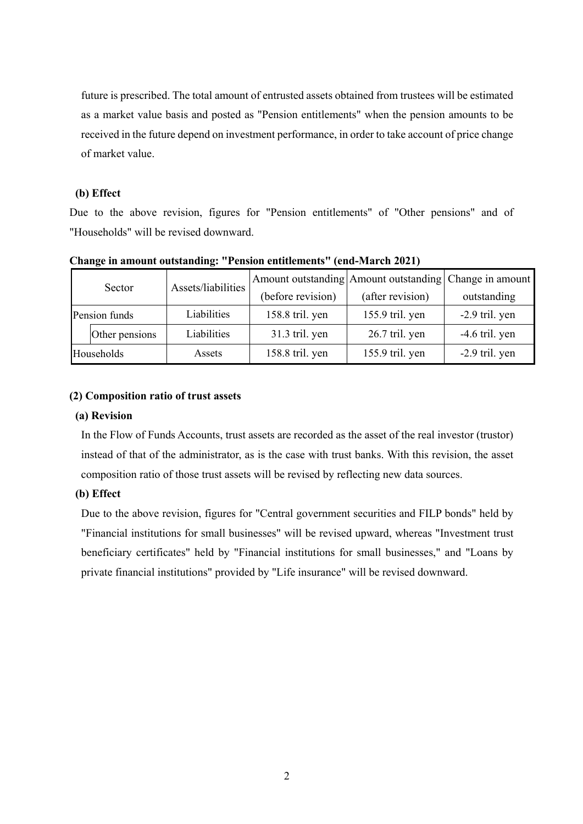future is prescribed. The total amount of entrusted assets obtained from trustees will be estimated as a market value basis and posted as "Pension entitlements" when the pension amounts to be received in the future depend on investment performance, in order to take account of price change of market value.

### **(b) Effect**

Due to the above revision, figures for "Pension entitlements" of "Other pensions" and of "Households" will be revised downward.

| Sector        |                | Assets/liabilities | Amount outstanding Amount outstanding Change in amount |                  |                  |
|---------------|----------------|--------------------|--------------------------------------------------------|------------------|------------------|
|               |                |                    | (before revision)                                      | (after revision) | outstanding      |
| Pension funds |                | Liabilities        | 158.8 tril. yen                                        | 155.9 tril. yen  | $-2.9$ tril. yen |
|               | Other pensions | Liabilities        | 31.3 tril. yen                                         | 26.7 tril. yen   | $-4.6$ tril. yen |
| Households    |                | Assets             | 158.8 tril. yen                                        | 155.9 tril. yen  | $-2.9$ tril. yen |

**Change in amount outstanding: "Pension entitlements" (end-March 2021)** 

#### **(2) Composition ratio of trust assets**

#### **(a) Revision**

In the Flow of Funds Accounts, trust assets are recorded as the asset of the real investor (trustor) instead of that of the administrator, as is the case with trust banks. With this revision, the asset composition ratio of those trust assets will be revised by reflecting new data sources.

### **(b) Effect**

Due to the above revision, figures for "Central government securities and FILP bonds" held by "Financial institutions for small businesses" will be revised upward, whereas "Investment trust beneficiary certificates" held by "Financial institutions for small businesses," and "Loans by private financial institutions" provided by "Life insurance" will be revised downward.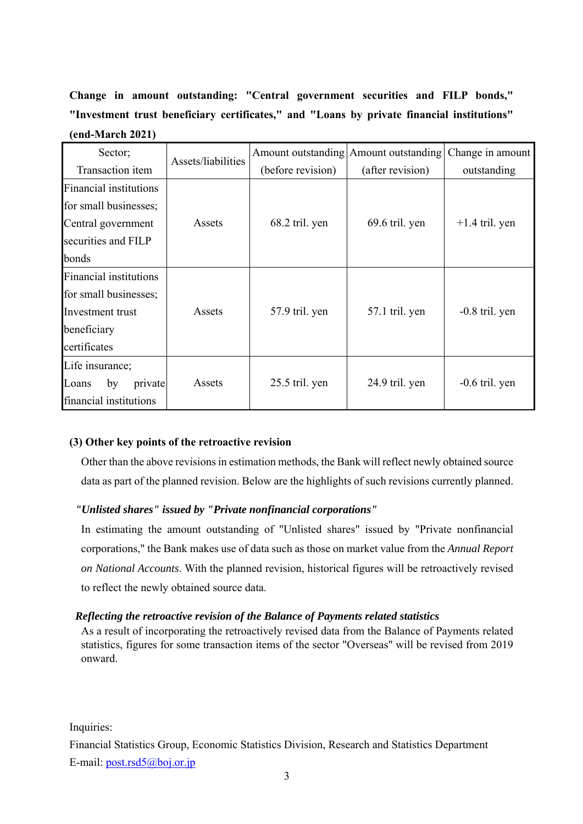**Change in amount outstanding: "Central government securities and FILP bonds," "Investment trust beneficiary certificates," and "Loans by private financial institutions" (end-March 2021)**

| Sector;                       | Assets/liabilities |                   | Amount outstanding Amount outstanding | Change in amount |
|-------------------------------|--------------------|-------------------|---------------------------------------|------------------|
| Transaction item              |                    | (before revision) | (after revision)                      | outstanding      |
| <b>Financial institutions</b> | Assets             | 68.2 tril. yen    | 69.6 tril. yen                        | $+1.4$ tril. yen |
| for small businesses;         |                    |                   |                                       |                  |
| Central government            |                    |                   |                                       |                  |
| securities and FILP           |                    |                   |                                       |                  |
| bonds                         |                    |                   |                                       |                  |
| <b>Financial institutions</b> | Assets             | 57.9 tril. yen    | 57.1 tril. yen                        | $-0.8$ tril. yen |
| for small businesses;         |                    |                   |                                       |                  |
| Investment trust              |                    |                   |                                       |                  |
| beneficiary                   |                    |                   |                                       |                  |
| certificates                  |                    |                   |                                       |                  |
| Life insurance;               |                    |                   |                                       |                  |
| Loans<br>private<br>by        | Assets             | 25.5 tril. yen    | 24.9 tril. yen                        | $-0.6$ tril. yen |
| financial institutions        |                    |                   |                                       |                  |

### **(3) Other key points of the retroactive revision**

Other than the above revisions in estimation methods, the Bank will reflect newly obtained source data as part of the planned revision. Below are the highlights of such revisions currently planned.

## *"Unlisted shares" issued by "Private nonfinancial corporations"*

In estimating the amount outstanding of "Unlisted shares" issued by "Private nonfinancial corporations," the Bank makes use of data such as those on market value from the *Annual Report on National Accounts*. With the planned revision, historical figures will be retroactively revised to reflect the newly obtained source data.

### *Reflecting the retroactive revision of the Balance of Payments related statistics*

As a result of incorporating the retroactively revised data from the Balance of Payments related statistics, figures for some transaction items of the sector "Overseas" will be revised from 2019 onward.

Inquiries:

Financial Statistics Group, Economic Statistics Division, Research and Statistics Department E-mail: post.rsd5@boj.or.jp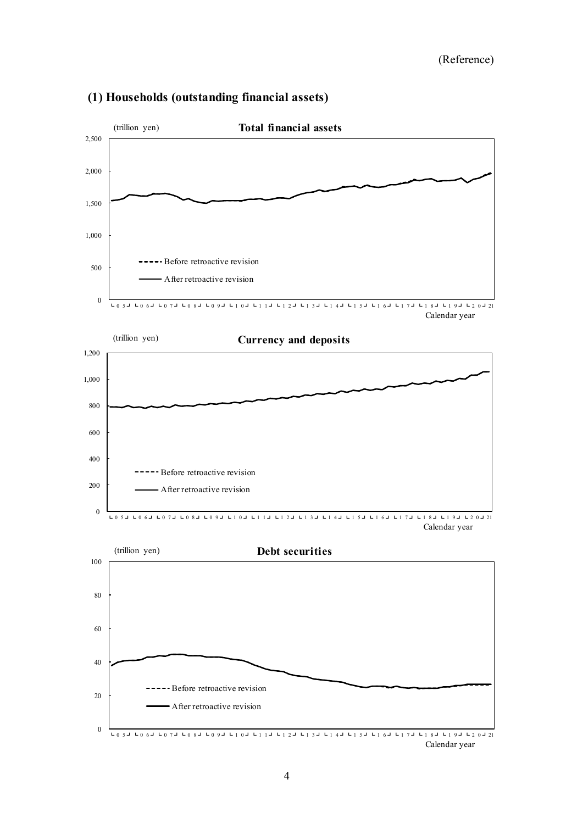

# **(1) Households (outstanding financial assets)**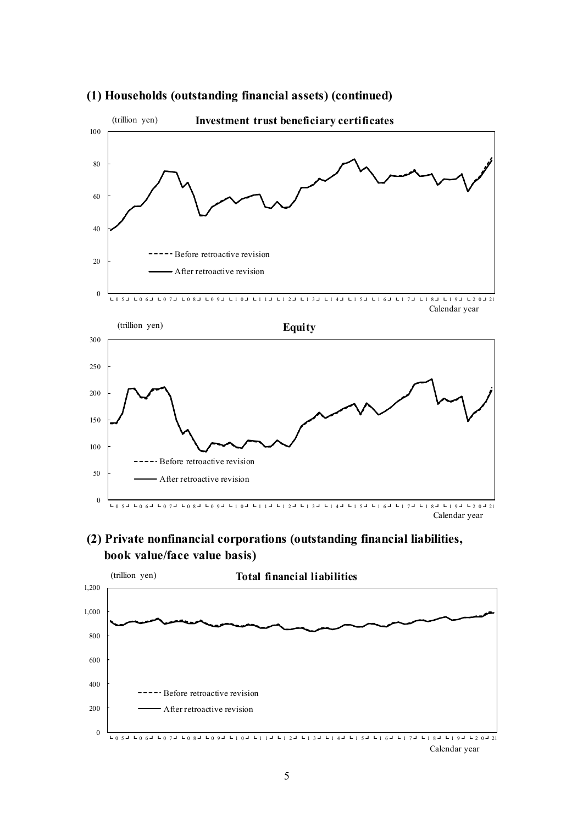

# **(1) Households (outstanding financial assets) (continued)**

 **(2) Private nonfinancial corporations (outstanding financial liabilities, book value/face value basis)**

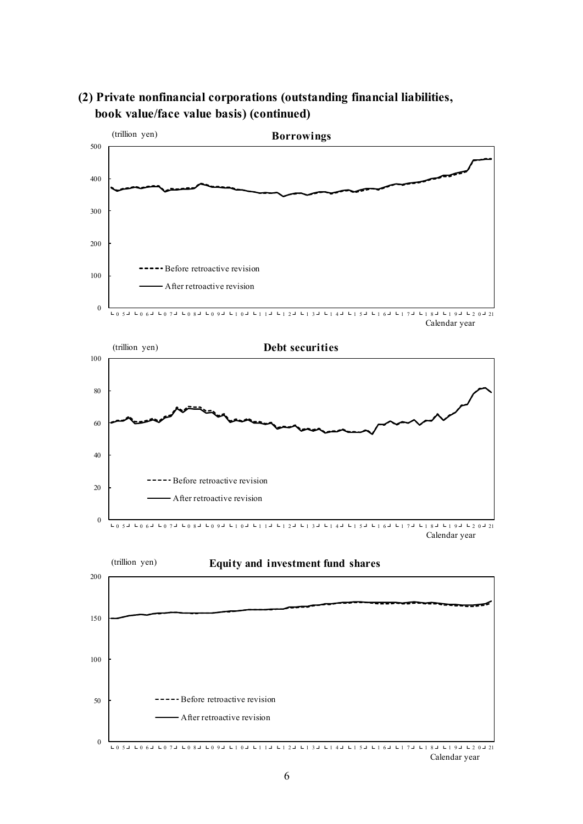

# **(2) Private nonfinancial corporations (outstanding financial liabilities, book value/face value basis) (continued)**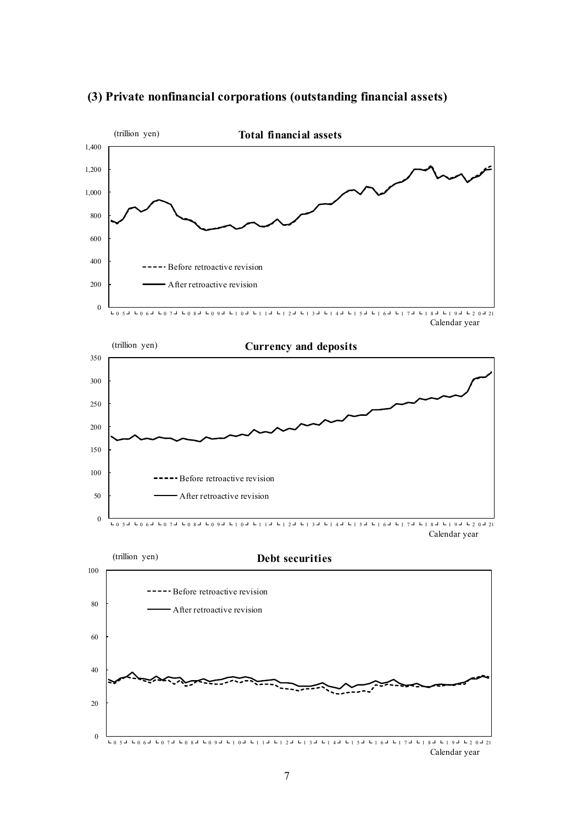

# **(3) Private nonfinancial corporations (outstanding financial assets)**